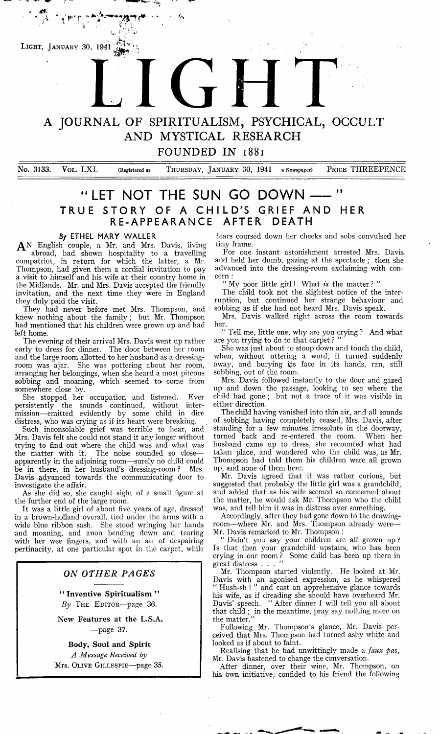

4\*.

# A JOURNAL OF SPIRITUALISM, PSYCHICAL, OCCULT AND MYSTICAL RESEARCH

FOUNDED IN **1881**

No. 3133. VOL. LXI. (Registered as THURSDAY, JANUARY 30, 1941 a Newspaper) PRICE THREEPENCE

# " LET NOT THE SUN GO DOWN --- " TRUE STORY OF A CHILD'S GRIEF AND HER **RE-APPEARANCE AFTER DEATH**

#### **By ETHEL MARY W ALLER**

 $\mathbf{A}^N$  English couple, a Mr. and Mrs. Davis, living abroad, had shown hospitality to a travelling compatriot, in return for which the latter, a Mr. Thompson, had given them a cordial invitation to pay a visit to himself and his wife at their country home in the Midlands. Mr. and Mrs. Davis accepted the friendly invitation, and the next time they were in England they duly paid the visit.

They had never before met Mrs. Thompson, and knew nothing about the family; but Mr. Thompson had mentioned that his children were grown up and had left home.

The evening of their arrival Mrs. Davis went up rather early to dress for dinner. The door between her room and the large room allotted to her husband as a dressingroom was ajar. She was pottering about her room, arranging her belongings, when she heard a most piteous sobbing and moaning, which seemed to- come from somewhere close by.

She stopped her occupation and listened. Ever<br>rsistently the sounds continued, without interpersistently the sounds continued, without intermission— emitted evidently by some child in dire distress, who was crying as if its heart were breaking.

Such inconsolable grief was terrible to hear, and Mrs. Davis felt she could not stand it any longer without trying to find out where the child was and what was the matter with it. The noise sounded so close apparently in the adjoining room—surely no child could be in there, in her husband's dressing-room ? Mrs. Davis advanced towards the communicating door to investigate the affair.

As she did so, she caught sight of a small figure at the further end of the large room.

It was a little girl of about five years of age, dressed in a brown-holland overall, tied under the arms with a wide blue ribbon sash. She stood wringing her hands and moaning, and anon bending down and tearing with her wee fingers, and with an air of despairing pertinacity, at one particular spot in the carpet, while

#### *ON OTHER PAGES*

" Inventive Spiritualism" By THE EDITOR-page 36.

New Features at the L.S.A.  $-$ page 37.

Body, Soul and Spirit *A Message Received by* Mrs. Olive Gillespie—page 35.

tears coursed down her cheeks and sobs convulsed her tiny frame.

For one instant astonishment arrested Mrs. Davis and held her dumb, gazing at the spectacle; then she advanced into the dressing-room exclaiming with concern :

" My poor little girl! What *is* the matter ? "

The child took not the slightest notice of the interruption, but continued her strange behaviour and sobbing as if she had not heard Mrs. Davis speak.

Mrs. Davis walked right across the room towards her.

" Tell me, little one, why are you crying ? And what are you trying to do to that carpet ? "

She was just about to stoop down and touch the child, when, without uttering a word, it turned suddenly away, and burying its face in its hands, ran, still sobbing, out of the room.

Mrs. Davis followed instantly to the door and gazed up and down the passage, looking to see where the child had gone ; but not a trace of it was visible in either direction.

The child having vanished into thin air, and all sounds of sobbing having completely ceased, Mrs. Davis, after standing for a few minutes irresolute in the doorway, turned back and re-entered the room. When her husband came up to dress, she recounted what had taken place, and wondered who the child was, as Mr. Thompson had told them his children were all grown up, and none of them here.

Mr. Davis agreed that it was rather curious, but suggested that probably the little girl was a grandchild, and added that as his wife seemed so concerned about the matter, he would ask Mr. Thompson who the child was, and tell him it was in distress over something.

Accordingly, after they had gone down to the drawingroom—where Mr. and Mrs. Thompson already were— Mr. Davis remarked to Mr. Thompson :

" Didn't you say your children are all grown up ? Is that then your grandchild upstairs, who has been crying in our room ? Some child has been up there in great distress . . .

Mr. Thompson started violently. He looked at Mr. Davis with an agonised expression, as he whispered " Hush-sh ! " and cast an apprehensive glance towards his wife, as if dreading she should have overheard Mr. Davis' speech. " After dinner I will tell you all about that child ; in the meantime, pray say nothing more on the matter."

Following Mr. Thompson's glance, Mr. Davis perceived that Mrs. Thompson had turned ashy white and looked as if about to faint.

Realising that he had unwittingly made a *faux pas*, Mr. Davis hastened to change the conversation.

After dinner, over their wine, Mr. Thompson, on his own initiative, confided to his friend the following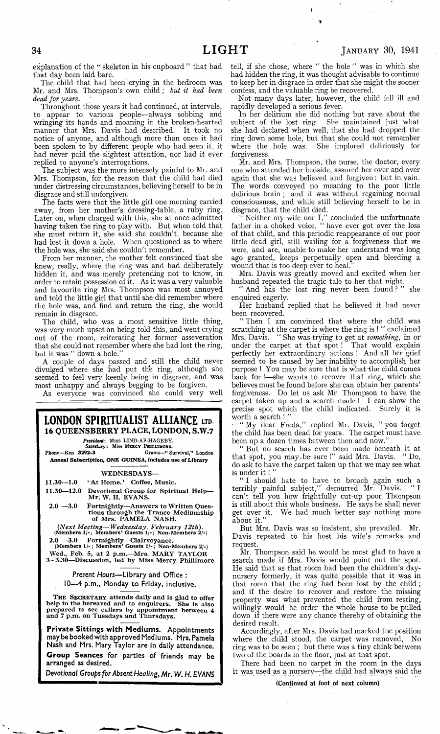explanation of the " skeleton in his cupboard " that had that day been laid bare.

The child that had been crying in the bedroom was Mr. and Mrs. Thompson's own child; *but it had been dead for years.*

Throughout those years it had continued^ at intervals, to appear to various people— always sobbing and wringing its hands and moaning in the broken-hearted manner that Mrs. Davis had described. It took no notice of anyone, and although more than once it had been spoken to by different people who had seen it, it had never paid the slightest attention, nor had it ever replied to anyone's interrogations.

The subject was the more intensely painful to Mr. and Mrs. Thompson, for the reason that the child had died under distressing circumstances, believing herself to be in disgrace and still unforgiven.

The facts were that the little girl one morning carried away, from her mother's dressing-table, a ruby ring. Later on, when charged with this, she at once admitted having taken the ring to play with. But when told that she must return it, she said she couldn't, because she had lost it down a hole. When questioned as to where the hole was, she said she couldn't remember.

From her manner, the mother felt convinced that she knew, really, where the ring was and had deliberately hidden it, and was merely pretending not to know, in order to retain possession of it. As it was a very valuable and favourite ring Mrs. Thompson was most annoyed and told the little girl that until she did remember where the hole was, and find and return the ring, she would remain in disgrace.

The child, who was a most sensitive little thing, was very much upset on being told this, and went crying out of the room, reiterating her former asseveration that she could not remember where she had lost the ring, but it was " down a hole."

A couple of days passed and still the child never divulged where she had put the ring, although she seemed to feel very keenly being in disgrace, and was most unhappy and always begging to be forgiven.

As everyone was convinced she could very well

**LONDON SPIRITUALIST ALLIANCE** LTD. **16 QUEENSBERRY PLACE, LONDON, S.W.7**

*President i* **Miss LIND-AF-HAGEBY.** *Secretary*: Miss Mercy Phillih ore.

**Phone—Ken .3292-3 Grams—" Survival/\* London Annual Subscription, ONE GUINEA, Includes use of Library**

WEDNESDAYS—

 $11.30 - 1.0$  'At Home.' Coffee, Music.

11.30— 12.0 Devotional Group for Spiritual Help— Mr. W. H. EVANS.

2.0 —3.0 Fortnightly—Answers to Written Questions through the Trance Mediumship<br>of Mrs. PAMELA NASH.

*(Next Meeting-***—***-Wednesday, February 12th).* **(Members 1/-; Members\* Guests 1/-; Non-Members 2/-)**

2.0 —3.0 Fortnightly— Clairvoyance. **(Members 1 /-; Members' Guests 1 /-; Non-Members 2/-)**

Wed., Feb. 5, at 2 p.m.—Mrs. MARY TAYLOR<br>3-3.30—Discussion, led by Miss Mercy Phillimore

*Present Hours***— Library and Office : 10— 4 p.m., Monday to Friday, inclusive.**

THE SECRETARY attends daily and is glad to offer help to the bereaved and to enquirers. She is also prepared to see callers by appointment between 4 and 7 p.m . on Tuesdays and Thursdays.

**Private Sittings with Mediums. Appointments may be booked with approved Mediums. Mrs. Pamela Nash and Mrs. Mary Taylor are in daily attendance. Group Seances for parties of friends may be arranged as desired.**

*Devotional Groups for Absent Healing, Mr. W. H. EVANS*

tell, if she chose, where " the hole " was in which she had hidden the ring, it was thought advisable to continue to keep her in disgrace in order that she might the sooner confess, and the valuable ring be recovered.

I \*»

Not many days later, however, the child fell ill and rapidly developed a serious fever.

In her delirium she did nothing but rave about the subject of the lost ring. She maintained just what she had declared when well, that she had dropped the ring down some hole, but that she could not remember where the hole was. She implored deliriously for forgiveness.

Mr. and Mrs. Thompson, the nurse, the doctor, every one who attended her bedside, assured her over and over again that she was believed and forgiven: but in. vain. The words conveyed no meaning to the poor little delirious brain ; and it was without regaining normal consciousness, and while still believing herself to be in disgrace, that the child died.

" Neither my wife nor I," concluded the unfortunate father in a choked voice, " have ever got over the loss of that child, and this periodic reappearance of our poor little dead girl, still wailing for a forgiveness that we were, and are, unable to make her understand was long ago granted, keeps perpetually open and bleeding a wound that is too deep ever to heal.

Mrs. Davis was greatly moved and excited when her husband repeated the tragic tale to her that night.

" And has the lost ring never been found ? " she enquired eagerly.

Her husband replied that he believed it had never been recovered.

" Then I am convinced that where the child was scratching at the carpet is where the ring is ! " exclaimed Mrs. Davis. " She was trying to get at *something,* in or under the carpet at that spot ! That would explain perfectly her extraordinary actions ! And all her grief seemed to be caused by her inability to accomplish her purpose ! You may be sure that is what the child comes back for !—she wants to recover that ring, which she believes must be found before she can obtain her parents' forgiveness. Do let us ask Mr. Thompson to have the carpet taken up and a search made ! I can show the precise spot which the child indicated. Surely it is worth a search ! "

\* " My dear Freda," replied Mr. Davis, " you forget the child has been dead for years. The carpet must have been up a dozen times between then and now.'

" But no search has ever been made beneath it at that spot, you may.be- sure !" said Mrs. Davis. " Do, do ask to have the carpet taken up that we may see what is under it !  $"$ 

" I should hate to have to broach "again such a terribly painful subject," demurred Mr. Davis. "I can't tell you how frightfully cut-up poor Thompson is still about this whole business. He says he shall never get over it. We had much better say nothing more about it."

But Mrs. Davis was so insistent, she prevailed. Mr. Davis repeated to his host his wife's remarks and request.

Mr. Thompson said he would be most glad to have a search made if Mrs. Davis would point out the spot. He said that as that room had been the children's daynursery formerly, it was quite possible that it was in that room that the ring had been lost by the child ; and if the desire to recover and restore the missing property was what prevented the child from resting, willingly would he order the whole house to be pulled down if there were any chance thereby of obtaining the desired result.

Accordingly, after Mrs. Davis had marked the position where the child stood, the carpet was removed, No ring was to be seen ; but there was a tiny chink between two of the boards in the floor, just at that spot.

There had been. no carpet in the room in the days it was used as a nursery—the child had always said the

(Continued at foot of next column)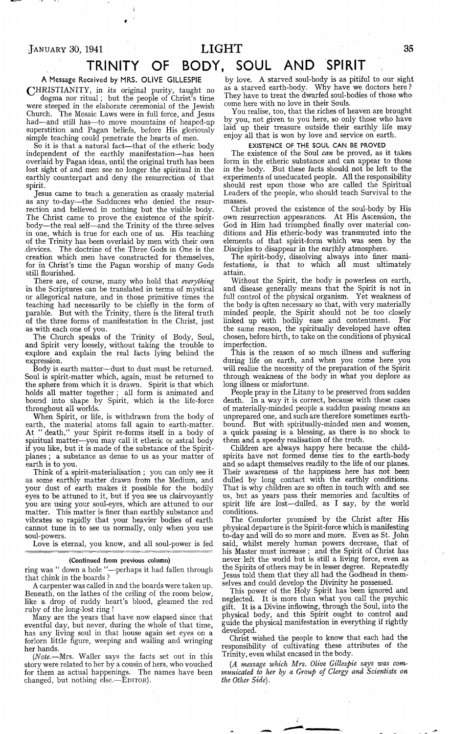## <sup>J</sup> a n u a r y **30, 1941 LIGHT <sup>35</sup>**

# **TRINITY OF BODY, SOUL AND SPIRIT ,**

**A Message Received by MRS. OLIVE GILLESPIE**

(CHRISTIANITY, in its original purity, taught no dogma nor ritual; but the people of Christ's time were steeped in the elaborate ceremonial of the Jewish Church. The Mosaic Laws were in full force, and Jesus had— and still has— to move mountains of heaped-up superstition and Pagan beliefs, before His gloriously simple teaching could penetrate the hearts of men.

So it is that a natural fact— that of the etheric body independent of the earthly manifestation—has been overlaid by Pagan ideas, until the original truth has been lost sight of and men see no longer the spiritual in the earthly counterpart and deny the resurrection of that spirit.

Jesus came to teach a generation as crassly material as any to-day—the Sadducees who denied the resurrection and believed in nothing but the visible body. The Christ came to prove the existence of the spiritbody— the real self—and the Trinity of the three selves in one, which is true for each one of us. His teaching of the Trinity has been overlaid by men with their own .devices. The doctrine of the Three Gods in One is the creation which men have constructed for themselves, for in Christ's time the Pagan worship of many Gods still flourished.

There are, of course, many who hold that *everything* in the Scriptures can be translated in terms of mystical or allegorical nature, and in those primitive times the teaching had necessarily to be chiefly in the form of parable. But with the Trinity, there is the literal truth of the three forms of manifestation in the Christ, just as with each one of you.

The Church speaks of the Trinity of Body, Soul, and Spirit very loosely, without taking the trouble to explore and explain the real facts lying behind the expression.

Body is earth matter— dust to dust must be returned. Soul is spirit-matter which, again, must be returned to the sphere from which it is drawn. Spirit is that which holds all matter together ; all form is animated and bound into shape by Spirit, which is the life-force throughout all worlds.

When Spirit, or life, is withdrawn from the body of earth, the material atoms fall again to earth-matter. At " death," your Spirit re-forms itself in a body of spiritual matter—you may call it etheric or astral body if you like, but it is made of the substance of the Spiritplanes ; a substance as dense to us as your matter of earth is to you.

Think of a spirit-materialisation ; you can only see it as some earthly matter drawn from the Medium, and your dust of earth makes it possible for the bodily eyes to be attuned to it, but if you see us clairvoyantly you are using your soul-eyes, which are attuned to our matter. This matter is finer than earthly substance and vibrates so rapidly that your heavier bodies of earth cannot tune in to see us normally, only when you use soul-powers.

Love is eternal, you know, and all soul-power is fed

#### (Continued from previous column)

ring was " down a hole "--perhaps it had fallen through that chink in the boards ?

A carpenter was called in and the boards were taken up. Beneath, on the lathes of the ceiling of the room below, like a drop of ruddy heart's blood, gleamed the red ruby of the long-lost ring !

Many are the years that have now elapsed since that eventful day, but never, during the whole of that time, has any living soul in that house again set eyes on a forlorn little figure, weeping and wailing and wringing her hands.

*(Note.*—Mrs. Waller says the facts set out in this story were related to her by a cousin of hers, who vouched for them as actual happenings. The names have been changed, but nothing  $else. -É$ DITOR).

by love. A starved soul-body is as pitiful to our sight as a starved earth-body. Why have we doctors here ? They have to treat the dwarfed soul-bodies of those who come here with no love in their Souls.

You realise, too, that the riches of heaven are brought by you, not given to you here, so only those who have laid up their treasure outside their earthly life may enjoy all that is won by love and service on earth.

#### EXISTENCE OF THE SOUL CAN BE PROVED

The existence of the Soul *can* be proved, as it takes form in the etheric substance and can appear to those in the body. But these facts should not be left to the experiments of uneducated people. All the responsibility should rest upon those who are called the Spiritual Leaders of the people, who should teach Survival to the masses.

Christ proved the existence of the soul-body by His own resurrection appearances. At His Ascension, the God in Him had triumphed finally over material conditions and His etheric-body was transmuted into the elements of that spirit-form which was seen by the Disciples to disappear in the earthly atmosphere.

The spirit-body, dissolving always into finer manifestations, is that to which all must ultimately attain.

Without the Spirit, the body is powerless on earth, and disease generally means that the Spirit is not in full control of the physical organism. Yet weakness of the body is often necessary so that, with very materially minded people, the Spirit should not be too closely linked up with bodily ease and contentment. For the same reason, the spiritually developed have often chosen, before birth, to take on the conditions of physical imperfection.

This is the reason of so much illness and suffering during life on earth, and when you come here you will realise the necessity of the preparation of the Spirit through weakness of the body in what you deplore as long illness or misfortune.

People pray in the Litany to be preserved from sudden death. In a way it is correct, because with these cases of materially-minded people a sudden passing means an unprepared one, and such are therefore sometimes earthbound. But with spiritually-minded men and women, a quick passing is a blessing, as there is no shock to them and a speedy realisation of the truth.

Children are always happy here because the childspirits have not formed dense ties to the earth-body and so adapt themselves readily to the life of our planes. Their awareness of the happiness here has not been dulled by long contact with the earthly conditions. That is why children are so often in touch with and see us, but as years pass their memories and faculties of spirit life are lost— dulled, as I say, by the world conditions.

The Comforter promised by the Christ after His physical departure is the Spirit-force which is manifesting to-day and will do so more and more. Even as St. John said, whilst merely human powers decrease, that of his Master must increase ; and the Spirit of Christ has never left the world but is still a living force, even as the Spirits of others may be in lesser degree. Repeatedly Jesus told them that they all had the Godhead in themselves and could develop the Divinity he possessed.

This power of the Holy Spirit has been ignored and neglected. It is more than what you call the psychic gift. It is a Divine inflowing, through the Soul, into the physical body, and this Spirit ought to control and guide the physical manifestation in everything if rightly developed.

Christ wished the people to know that each had the responsibility of cultivating these attributes of the Trinity, even whilst encased in the body.

*(A message which Mrs. Olive Gillespie says was communicated to her by a Group of Clergy and Scientists on the Other Side).*

 $\ddot{\psi}$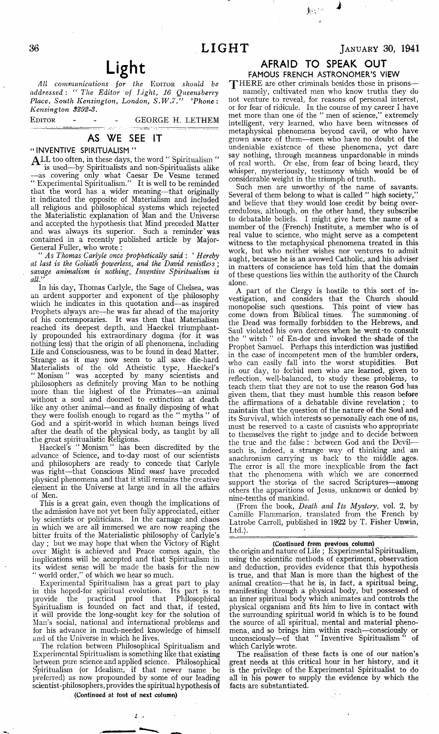# Light;

*All communications for the* Editor *should be addressed : " The Editor of Light, 16 Queensberry Place, South Kensington, London, S .W .7 ." 'Phone: Kensington 3292-3.*

EDITOR - - - GEORGE H. LETHEM

#### **AS WE SEE IT**

#### **" INVENTIVE SPIRITUALISM "**

**ALL** too often, in these days, the word " Spiritualism " is used—by Spiritualists and non-Spiritualists alike — as covering only what Caesar De Vesme termed " Experimental Spiritualism." It is well to be reminded that the word has a wider meaning— that originally it indicated the opposite of Materialism and included all religious and philosophical systems which rejected the Materialistic explanation of Man and the Universe and accepted the hypothesis that Mind preceded Matter and was always its superior. Such a reminder' was contained in a recently published article by Major-General Fuller, who wrote :

" *As Thomas Carlyle once prophetically said* : ' *Hereby at last is the Goliath powerless, and the David resistless* ; *savage animalism is nothing,. Inventive Spiritualism is all.*

In his day, Thomas Carlyle, the Sage of Chelsea, was an ardent supporter and exponent of the philosophy which he indicates in this quotation and—as inspired Prophets alyays are—he was far ahead of the majority of his contemporaries. It was then that Materialism reached its deepest depth, and Haeckel triumphantly propounded his extraordinary dogma (for it was nothing less) that the origin of all phenomena, including Life and Consciousness, was to be found in dead Matter. Strange as it may how seem to all save die-hard Materialists of the old Atheistic type, Haeckel's " Monism " was accepted by many scientists and philosophers as definitely proving Man to be nothing more than the highest of the Primates— an animal without a soul and doomed to extinction at death like any other animal—and as finally disposing of what they were foolish enough to regard as the " myths " of God and a spirit-world in which human beings lived after the death of the physical body, as taught by all the great spiritualistic Religions.

Haeckel's " Monism " has been discredited by the advance of Science, and to-day most of our scientists and philosophers are ready to concede that Carlyle was right—that Conscious Mind *must* have preceded physical phenomena and that it still remains the creative element in the Universe at large and in all the affairs of Men.

This is a great gain, even though the implications of the admission have not yet been fully appreciated, either by scientists or politicians. In the carnage and chaos in which we are all immersed we are now reaping the bitter fruits of the Materialistic philosophy of Carlyle's day ; but we may hope that when the Victory of Right over Might is achieved and Peace comes again, the implications will be accepted and that Spiritualism in its widest sense will be made the basis for the new world order," of which we hear so much.

Experimental Spiritualism has a great part to play in this hoped-for spiritual evolution. Its part is to provide the practical proof that Philosophical Spiritualism is founded on fact and that, if tested, it will provide the long-sought key for the solution of Man's social, national and international problems and for his advance in much-needed knowledge of himself and of the Universe in which he lives.

The relation between Philosophical Spiritualism and Experimental Spiritualism is something like that existing between pure science and applied science. Philosophical Spiritualism (or Idealism, if that newer name be preferred) as now propounded by some of our leading scientist-philosophers, provides the spiritual hypothesis of

#### (Continued at foot of next column)

я.,

## JANUARY 30, 1941

## **AFRAID TO SPEAK OUT**

**FAMOUS FRENCH ASTRONOMER'S VIEW**

THERE are other criminals besides those in prisonsnamely, cultivated men who know truths they do not venture to reveal, for reasons of personal interest, or for fear of ridicule. In the course of my career I have met more than one of the " men of science," extremely intelligent, very learned, who have been witnesses of metaphysical phenomena beyond cavil, or who have grown aware of them— men who have no doubt of the undeniable existence of these phenomena, yet dare say nothing, through meanness unpardonable in minds of real worth. Or else, from fear of being heard, they whisper, mysteriously, testimony which would be of considerable weight in the triumph of truth.

Such men are unworthy of the name of savants. Several of them belong to what is called " high society," and believe that they would lose credit by being overcredulous, although, on the other hand, they subscribe to debatable beliefs. I might give here the name of a member of the (French) Institute, a member who is of real value to science, who might serve as a competent witness to the metaphysical phenomena treated in this work, but who neither wishes nor ventures to admit aught, because he is an avowed Catholic, and his adviser in matters of conscience has told him that the domain of these questions lies within the authority of the Church alone.

A part of the Clergy is hostile to this sort of investigation, and considers that the Church should monopolise such questions. This point of view has come down from Biblical times. The summoning of monopolise such questions. come down from Biblical times. the Dead was formally forbidden to the Hebrews, and Saul violated his own decrees when he went \*to consult the " witch " of En-dor and invoked the shade of the Prophet Samuel. Perhaps this interdiction was justified in the case of incompetent men of the humbler orders, who can easily fall into the worst stupidities. But in our day, to forbid men who are learned, given to reflection, well-balanced, to study these problems, to teach them that they are not to use the reason God has given them, that they must humble this reason before the affirmations of a debatable divine revelation ; to maintain that the question of the nature of the Soul and its Survival, which interests so personally each one of us, must be reserved to a caste of casuists who appropriate to themselves the right to judge and to decide between the true and the false : between God and the Devilsuch is, indeed, a strange way of thinking and an anachronism carrying us back to the middle ages. The error is all the more inexplicable from the fact that the phenomena with which we are concerned support the stories of the sacred Scriptures— among others the apparitions of Jesus, unknown or denied by nine-tenths of mankind.

(From the book, *Death and Its Mystery,* voL 2, by Camille Flammarion, translated from the French by Latrobe Carroll, published'in 1922 by T. Fisher Unwin, Ltd.).  $\blacksquare$ 

#### (Continued from previous column)

the origin and nature of Life ; Experimental Spiritualism, using the scientific methods of experiment, observation and deduction, provides evidence that this hypothesis is true, and that Man is more than the highest of the animal creation— that he is, in fact, a spiritual being, manifesting through a physical body, but possessed of an inner spiritual body which animates and controls the physical organism and fits him to live in contact with the surrounding spiritual world in which is to be found the source of all spiritual, mental and material phenomena, and so brings him within reach—consciously or unconsciously—of that " Inventive Spiritualism " of which Carlyle wrote.

The realisation of these facts is one of our nation's great needs at this critical hour in her history, and it is the privilege of the Experimental Spiritualist to do all in his power to supply the evidence by which the facts are substantiated.

β,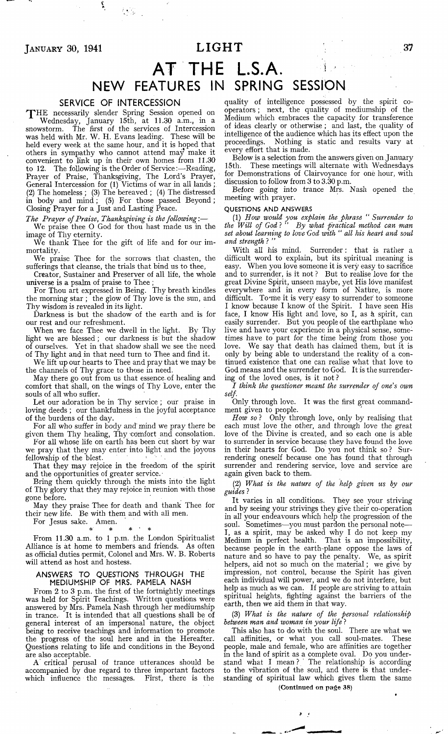*JANUARY* 30, 1941 **LIGHT** 37

# **AT THE L.S.A. ^ NEW FEATURES IN SPRING SESSION**

#### **SERVICE OF INTERCESSION**

'J 'H E necessarily slender Spring Session opened on Wednesday, January 15th, at 11.30 a.m., in a snowstorm. The first of the services of Intercession was held with Mr. W. H. Evans leading. These will be held every week at the same hour, and it is hoped that others in sympathy who cannot attend may make it convenient to link up in their own homes from 11.30 to 12. The following is the Order of Service:— Reading, Prayer of Praise, Thanksgiving, The Lord's Prayer, General Intercession for (1) Victims of war in all lands ; (2) The homeless ; (3) The bereaved ; (4) The distressed in body and mind; (5) For those passed Beyond; Closing Prayer for a Just and Lasting Peace.

*The Prayer of Praise, Thanksgiving is the following*:—

We praise thee O God for thou hast made us in the image of Thy eternity.

We thank Thee for the gift of life and for our immortality.

We praise Thee for the sorrows that chasten, the sufferings that cleanse, the trials that bind us to thee,

Creator, Sustainer and Preserver of all life, the whole universe is a psalm of praise to Thee ;

For Thou art expressed in Being. Thy breath kindles the morning star ; the glow of Thy love is the sun, and Thy wisdom is revealed in its light.

Darkness is but the shadow of the earth and is for our rest and our refreshment.

When we face Thee we dwell in the light. By Thy light we are blessed; our darkness is but the shadow of ourselves. Yet in that shadow shall we see the need of Thy light and in that need turn to Thee and find it.

We lift up our hearts to Thee and pray that we may be the channels of Thy grace to those in need.

May there go out from us that essence, of healing and comfort that shall, on the wings of Thy Love, enter the souls of all who suffer.

Let our adoration be in Thy service ; our praise in loving deeds ; our thankfulness in the joyful acceptance of the burdens of the day.

For all who suffer in body and' mind we pray there be given them Thy healing, Thy comfort and consolation.

For all whose life on earth has been cut short by war we pray that they may enter into light and the joyous fellowship of the blest.

That they may rejoice in the freedom of the spirit and the opportunities of greater service.

Bring them quickly through the mists into the light of Thy glory that they may rejoice in reunion with those gone before.

May they praise Thee for death and thank Thee for their new life. Be with them and with all men.

For Jesus sake. Amen.

\* \* \* \* \*

From 11.30 a.m. to 1 p.m. the London Spiritualist Alliance is at home to members and friends. As often as official duties permit, Colonel and Mrs. W. B. Roberts will attend as host and hostess.

#### **ANSWERS TO QUESTIONS THROUGH THE MEDIUMSHIP OF MRS. PAMELA NASH**

From 2 to 3 p.m. the first of the fortnightly meetings was held for Spirit Teachings. Written questions were answered by Mrs. Pamela Nash through her mediumship in trance. It is intended that all questions shall be of general interest of an impersonal nature, the object being to receive teachings and information to promote the progress of the soul here and in the Hereafter. Questions relating to life and conditions in the Beyond are also acceptable.

A critical perusal of trance utterances should be accompanied by due regard to three important factors which influence the messages. First, there is the

quality of intelligence possessed by the spirit cooperators ; next, the quality of mediumship of the Medium which embraces the capacity for transference of ideas clearly or otherwise ; and last, the quality of intelligence of the audience which has its effect upon the proceedings. Nothing is static and results vary at every effort that is made.

Below is a selection from the answers given on January 15th. These meetings will alternate with Wednesdays for Demonstrations of Clairvoyance for one hour, with discussion to follow from 3 to 3.30 p.m.

Before going into trance Mrs. Nasli opened the meeting with prayer.

#### QUESTIONS AND ANSWERS

(1) *How would you explain the phrase " Surrender to the Will of God* ? " *By what practical method can man set about learning to love God with " all his heart and soul and strength* ? "

With all his mind. Surrender: that is rather a difficult word to explain, but its spiritual meaning is easy. When you love someone it is very easy to sacrifice and to surrender, is it not ? But to realise love for the great Divine Spirit, unseen maybe, yet His love manifest everywhere and in every form of Nature, is more difficult. To me it is very easy to surrender to someone I know because I know of the Spirit. I have seen His face, I know His light and love, so I, as *k* spirit, can easily surrender. But you people of the earthplane who live and have your experience in a physical sense, sometimes have to part for the time being from those you love. We say that death has claimed them, but it is only by being able to understand the reality of a continued existence that one can realise what that love to God means and the surrender to God. It is the surrendering of the loved ones, is it not ?

*I think the questioner meant the surrender of one's own self.*

Only through love. It was the first great commandment given to people.

*How so* ? Only through love, only by realising that each must love the other, and through love the great love of the Divine is created, and so each one is able to surrender in service because they have found the love in their hearts for God. Do you not think so ? Surrendering oneself because one has found that through surrender and rendering service, love and service are again given back to them.

(2) *What is the nature of the help given us by our guides* ?

It varies in all conditions. They see your striving and by seeing your strivings they give their co-operation in all your endeavours which help the progression of the soul. Sometimes—you must pardon the personal note— I, as a spirit, may be asked why I do not keep my Medium in perfect health. That is an impossibility, because people in the earth-plane oppose the laws of nature and so have to pay the penalty. We, as spirit helpers, aid not so much on the material; we give by impression, not control, because the Spirit has given each individual will power, and we do not interfere, but help as much as we can. If people are striving to attain spiritual heights, fighting against the barriers of the earth, then we aid them in that way.

(3) *What is the nature of the personal relationship between man and woman in your life* ?

This also has to do with the soul. There are what we call affinities, or what you call soul-mates. These people, male and female, who are affinities are together in the land of spirit as a complete oval. Do you understand what I mean ? ' The relationship is according to the vibration of the soul, and there is that understanding of spiritual law which gives them the same (Continued on page 38)

*f ;*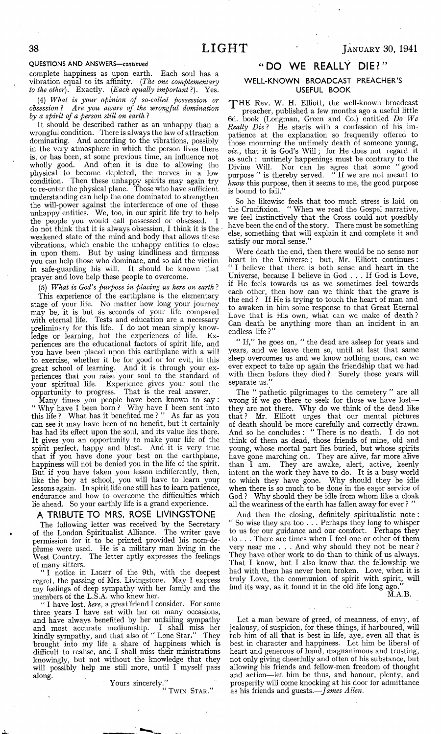#### QUESTIONS AND ANSWERS— continued

complete happiness as upon earth. Each soul has a vibration equal to its affinity. (*The one complementary to the other).* Exactly. *(Each equally important* ?). Yes.

(4) *What is your opinion of so-called, possession or obsession* ? *Are you aware of the wrongful domination by a spirit of a person still on earth* ?

It should be described rather as an unhappy than a wrongful condition. There is always the law of attraction dominating. And according to the vibrations, possibly in the very atmosphere in which the person lives there is, or has been, at some previous time, an influence not wholly good. And often it is due to allowing the physical to become depleted, the nerves in a low condition. Then these unhappy spirits may again try to re-enter the physical plane. Those who have sufficient understanding can help the one dominated to strengthen the will-power against the interference of one of these unhappy entities. We, too, in our spirit life try to help the people you would call possessed or obsessed. I do not think that it is always obsession, I think it is the weakened state of the mind and body that allows these vibrations, which enable the unhappy entities to close in upon them. But by using kindliness and firmness you can help those who dominate, and so aid the victim in safe-guarding his will. It should be known that prayer and love help these people to overcome.

(5) *What is God's purpose in placing us here on earth* ? This experience of the earthplane is the elementary stage of your life. No matter how long your journey may be, it is but as seconds of your life compared with eternal life. Tests and education are a necessary preliminary for this life. I do not mean simply knowledge or learning, but the experiences of life. Experiences are the educational factors of spirit life, and you have been placed upon this earthplane with a will to exercise, whether it be for good or for evil, in this great school of learning. And it is through your experiences that you raise your soul to the standard of your spiritual life. Experience gives your soul the opportunity to progress. That is the real answer,

Many times you people have been known to say: " Why have I been born ? Why have I been sent into this life ? What has it benefited me ? " As far as you can see it may have been of no benefit, but it certainly has had its effect upon the soul, and its value lies there. It gives you an opportunity to make your life of the spirit perfect, happy and blest. And it is very true that if you have done your best on the earthplane, happiness will not be denied you in the life of the spirit. But if you have taken your lesson indifferently, then, like the boy at school, you will have to learn your lessons again. In spirit life one still has to learn patience, endurance and how to overcome the difficulties which lie ahead. So your earthly life is a grand experience.

#### **A TRIBUTE TO MRS. ROSE LIVINGSTONE**

The following letter was received by the Secretary of the London Spiritualist Alliance. The writer gave permission for it to be printed provided his nom-deplume were used. He is a military man living in the West Country. The letter aptly expresses the feelings of many sitters.

" **I** notice in **Light** of the 9th, with the deepest regret, the passing of Mrs. Livingstone. May I express my feelings of deep sympathy with her family and the members of the L.S.A. who knew her.

" I have lost, *here,* a great friend I consider. For some three years I have sat with her on many occasions, and have always benefited by her unfailing sympathy and most accurate mediumship. I shall miss her kindly sympathy, and that also of " Lone Star." They 'brought into my life a share of happiness which is difficult to realise, and I shall miss their ministrations knowingly, but not without the knowledge that they will possibly help me still more, until I myself pass along.

Yours sincerely."

**" Twin Star."**

#### **" DO WE REALLY D IE?"**

#### WELL-KNOWN BROADCAST PREACHER'S **USEFUL BOOK**

THE Rev. W. H. Elliott, the well-known broadcast preacher, published a few months ago a useful little 6d. book (Longman, Green and Co.) entitled *Do We Really Die* ? He starts with a confession of his impatience at the explanation so frequently offered to those mourning the untimely death of someone young, *viz.*, that it is God's Will; for He does not regard it as such : untimely happenings must be contrary to the Divine Will. Nor can he agree that some " good purpose " is thereby served. " If we are not meant to *know* this purpose, then it seems to me, the good purpose is bound to fail.

So he likewise feels that too much stress is laid on the Crucifixion. " When we read the Gospel narrative, we feel instinctively that the Cross could not possibly have been the end of the story. There must be something else, something that will explain it and complete it and satisfy our moral sense.'

Were death the end, then there would be no sense nor heart in the Universe; but, Mr. Elliott continues: " I believe that there is both sense and heart in the Universe, because I believe in God . . . If God is Love, if He feels towards us as we sometimes feel towards each other, then how can we think that the grave is the end ? If He is trying to touch the heart of man and to awaken in him some response to that Great Eternal Love that is His own, what can we make of death ? Can death be anything more than an incident in an endless life ?"

" If," he goes on, " the dead are asleep for years and years, and we leave them so, until at last that same sleep overcomes us and we know nothing more, can we ever expect to take up again the friendship that we had with them before they died ? Surely those years will separate us.

The " pathetic pilgrimages to the cemetery " are all wrong if we go there to seek for those we have lost they are not there. Why do we think of the dead like that ? Mr. Elliott urges that our mental pictures of death should be more carefully and correctly drawn. And so he concludes : " There is no death. I do not think of them as dead, those friends of mine, old and young, whose mortal part lies buried, but whose spirits have gone marching on. They are alive, far more alive than I am. They are awake, alert, active, keenly intent on the work they have to do. It is a busy world to which they have gone. Why should they be idle when there is so much to be done in the eager service of God ? Why should they be idle from whom like a cloak all the weariness of the earth has fallen away for ever ?

And then the closing, definitely spiritualistic note : " So wise they are too . . . Perhaps they long to whisper to us for our guidance and our comfort. Perhaps they do . . . There are times when I feel one or other of them very near me . . . And why should they not be near ? They have other work to do than to think of us always. That I know, but I also know that the fellowship we had with them has never been broken. Love, when it is truly Love, the communion of spirit with spirit, will find its way, as it found it in the old life long ago."

M.A.B.

Let a man beware of greed, of meanness, of envy, of jealousy, of suspicion, for these things, if harboured, will rob him of all that is best in life, aye, even all that is best in character and happiness. Let him be liberal of heart and generous of hand, magnanimous and trusting, not only giving cheerfully and often of his substance, but allowing his friends and fellow-men freedom of thought and action— let him be thus, and honour, plenty, and prosperity will come knocking at his door for admittance as his friends and guests.—*James Allen.*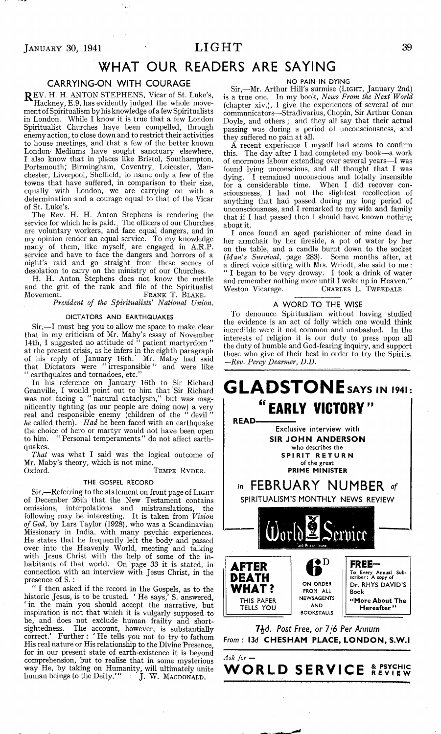## $J_{\text{ANUARY}}$  30, 1941  $LIGHT$  39

# **WHAT OUR READERS ARE SAYING**

#### **CARRYING-ON WITH COURAGE**

REV. H. H. ANTON STEPHENS, Vicar of St. Luke's, Hackney, E.9, has evidently judged the whole movement of Spiritualism by his knowledge of a few Spiritualists in London. While I know it is true that a few London Spiritualist Churches have been compelled, through enemy action, to close down and to restrict their activities to house meetings, and that a few of the better known London' Mediums have sought sanctuary elsewhere, I also know that in places like Bristol, Southampton, Portsmouth; Birmingham, Coventry, Leicester, Manchester, Liverpool, Sheffield, to name only a few of the towns that have suffered, in comparison to their size, equally with London, we are carrying on with a determination and a courage equal to that of the Vicar of St. Luke's.

The Rev. H. H. Anton Stephens is rendering the service for which he is paid., The officers of our Churches are voluntary workers, and face equal dangers, and in my opinion render an equal service. To my knowledge many of them, like myself, are engaged in A.R.P. service and have to face the dangers and horrors of a night's raid and go straight from these scenes of desolation to carry on the ministry of our Churches.

H. H. Anton Stephens does not know the mettle and the grit of the rank and file of the Spiritualist Movement. **Frank** T. **Blake.**

*President of the Spiritualists' National Union.*

#### DICTATORS AND EARTHQUAKES

Sir,— I must beg you to allow me space to make clear that in my criticism of Mr. Maby's essay of November 14th, I suggested no attitude of " patient martyrdom " at the present crisis, as he infers in the eighth paragraph of his reply of January 16th.' Mr. Maby had said that Dictators were " irresponsible " and were like " earthquakes and tornadoes, etc."

In his reference on January 16th to Sir Richard Granville, I would point out to him that Sir Richard was not facing a " natural cataclysm," but was- magnificently fighting (as our people are doing now) a very real and responsible enemy (children of the " devil " *he* called them). *Had* he been faced with an earthquake the choice of hero or martyr would not have been open to him. " Personal temperaments" do not affect earthquakes.

*That* was what I said was the logical outcome of Mr. Maby's theory, which is not mine.

 $T$ **EMPE** RYDER.

#### THE GOSPEL RECORD

Sir,— Referring to the statement on front page of **Light** of December 26th that the New Testament contains omissions, interpolations and mistranslations, the following may be interesting. It is taken from *Vision of God,* by Lars Taylor (1928), who was a Scandinavian Missionary in India, with many psychic experiences. He states that he frequently left the body and passed over into the Heavenly World, meeting and talking with Jesus Christ with the help of some of the inhabitants of that world. On page 33 it is stated, in connection with an interview with Jesus Christ, in the presence of S. :

" I then asked if the record in the Gospels, as to the historic Jesus, is to be trusted. ' He says,' S. answered, ' in the main you should accept the narrative, but inspiration is not that which it is vulgarly supposed to be, and does not exclude human frailty and shortsightedness. The account, however, is substantially correct.' Further : ' He tells you not to try to fathom His real nature or His relationship to the Divine Presence, for in our present state of earth-existence it is beyond comprehension, but to realise that in some mysterious way He, by taking on Humanity, will ultimately unite human beings to the Deity.' " J. W. **Macdonald.**

#### NO PAIN IN DYING

Sir,—Mr. Arthur Hill's surmise **(Light,** January 2nd) is a true one. In my book, *News From the Next World* (chapter xiv.), I give the experiences of several of our communicators— Stradivarius, Chopin, Sir Arthur Conan Doyle, and others ; and they all say that their actual passing was during a period of unconsciousness, and they suffered no pain at all.

A recent experience I myself had seems to confirm this. The day after I had completed my book—a work of enormous labour extending over several years— I was found lying unconscious, and all thought that I was dying. I remained unconscious and totally insensible for a considerable time. When I did recover consciousnesss, I had not the slightest recollection of anything that had passed during my long period of unconsciousness, and I remarked to my wife and family that if I had passed then I should have known nothing about it.

I once found an aged parishioner of mine dead in her armchair by her fireside, a pot of water by her on the table, and a candle burnt down to the socket *(Man's Survival,* page 283). Some months after, at a direct voice sitting with Mrs. Wriedt, she said to me : " I began to be very drowsy. I took a drink of water and remember nothing more until I woke up in Heaven." Weston Vicarage. **Charles** L. **Tweedale.**

#### **A W ORD TO THE WISE**

To denounce Spiritualism without having studied the evidence is an act of folly which one would think incredible were it not common and unabashed. In the interests of religion it is our duty to press upon all the duty of humble and God-fearing inquiry, and support those who give of their best in order to try the Spirits. *—Rev. Percy Dearmer, D.D.*